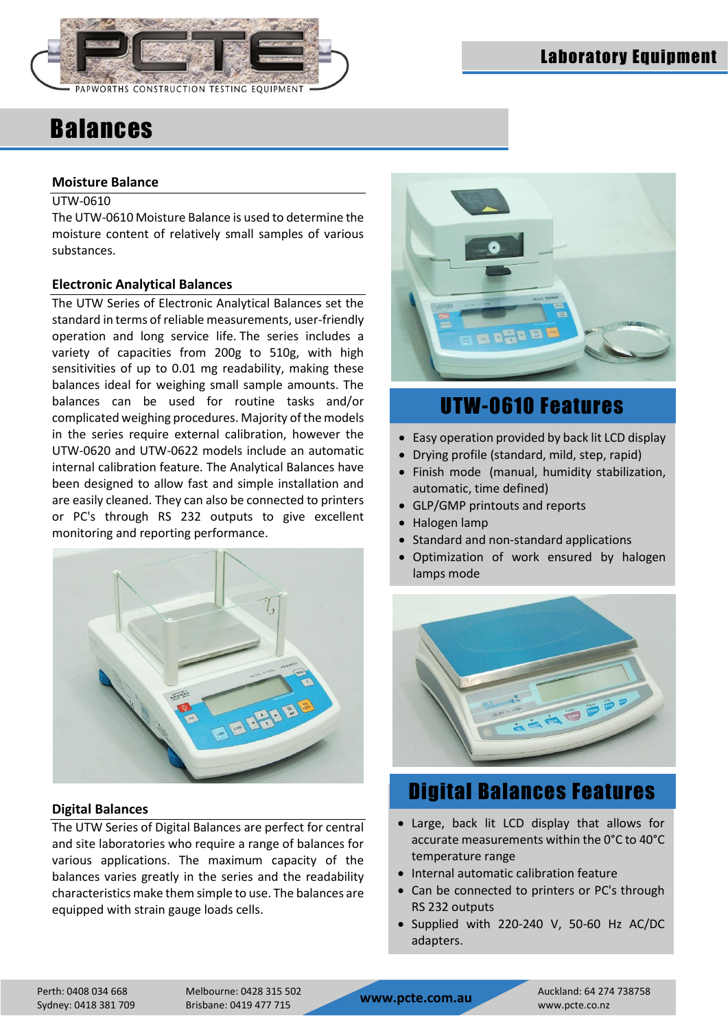

#### **Moisture Balance**

#### UTW-0610

The UTW-0610 Moisture Balance is used to determine the moisture content of relatively small samples of various substances.

#### **Electronic Analytical Balances**

The UTW Series of Electronic Analytical Balances set the standard in terms of reliable measurements, user-friendly operation and long service life. The series includes a variety of capacities from 200g to 510g, with high sensitivities of up to 0.01 mg readability, making these balances ideal for weighing small sample amounts. The balances can be used for routine tasks and/or complicated weighing procedures. Majority of the models in the series require external calibration, however the UTW-0620 and UTW-0622 models include an automatic internal calibration feature. The Analytical Balances have been designed to allow fast and simple installation and are easily cleaned. They can also be connected to printers or PC's through RS 232 outputs to give excellent monitoring and reporting performance.



#### **Digital Balances**

The UTW Series of Digital Balances are perfect for central and site laboratories who require a range of balances for various applications. The maximum capacity of the balances varies greatly in the series and the readability characteristics make them simple to use. The balances are equipped with strain gauge loads cells.



### UTW-0610 Features

- Easy operation provided by back lit LCD display
- Drying profile (standard, mild, step, rapid)
- Finish mode (manual, humidity stabilization, automatic, time defined)
- GLP/GMP printouts and reports
- Halogen lamp
- Standard and non-standard applications
- Optimization of work ensured by halogen lamps mode



### Digital Balances Features

- Large, back lit LCD display that allows for accurate measurements within the 0°C to 40°C temperature range
- Internal automatic calibration feature
- Can be connected to printers or PC's through RS 232 outputs
- Supplied with 220-240 V, 50-60 Hz AC/DC adapters.

Perth: 0408 034 668<br>Sydney: 0418 381 709 Brisbane: 0419 477 715 **www.pcte.com.au** www.pcte.co.nz

Perth: 0408 034 668 Melbourne: 0428 315 502 Auckland: 64 274 738758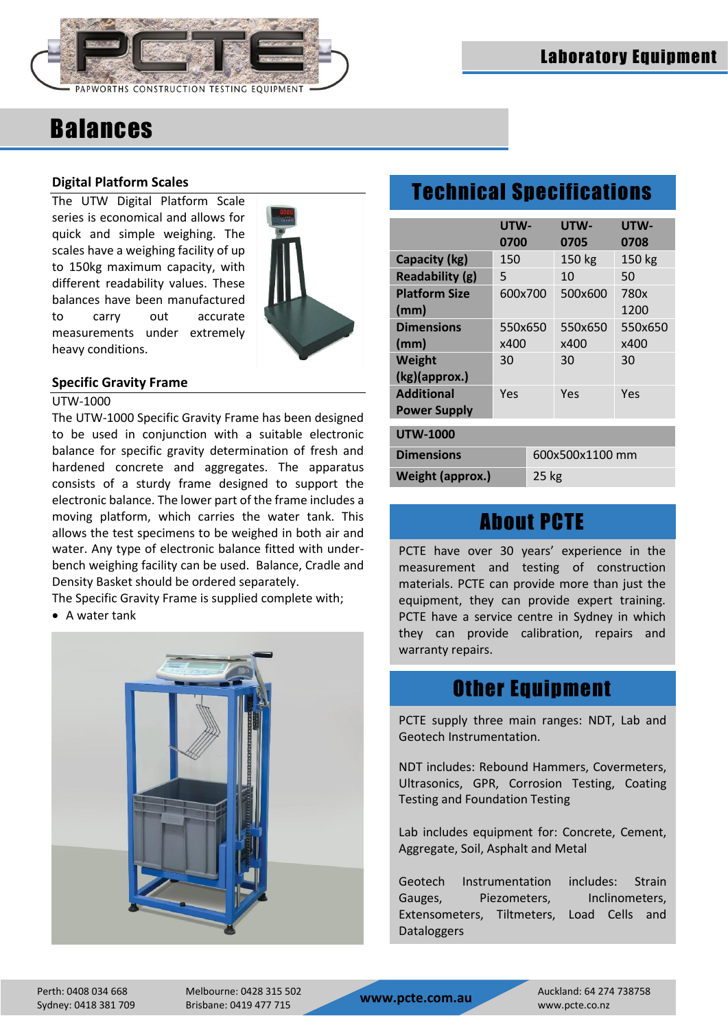

#### **Digital Platform Scales**

The UTW Digital Platform Scale series is economical and allows for quick and simple weighing. The scales have a weighing facility of up to 150kg maximum capacity, with different readability values. These balances have been manufactured to carry out accurate measurements under extremely heavy conditions.



#### **Specific Gravity Frame**

#### UTW-1000

The UTW-1000 Specific Gravity Frame has been designed to be used in conjunction with a suitable electronic balance for specific gravity determination of fresh and hardened concrete and aggregates. The apparatus consists of a sturdy frame designed to support the electronic balance. The lower part of the frame includes a moving platform, which carries the water tank. This allows the test specimens to be weighed in both air and water. Any type of electronic balance fitted with underbench weighing facility can be used. Balance, Cradle and Density Basket should be ordered separately.

The Specific Gravity Frame is supplied complete with;

A water tank



## Technical Specifications

|                              | UTW-<br>0700    |  | UTW-<br>0705 | UTW-<br>0708 |  |  |
|------------------------------|-----------------|--|--------------|--------------|--|--|
| Capacity (kg)                | 150             |  | 150 kg       | 150 kg       |  |  |
| Readability (g)              | 5               |  | 10           | 50           |  |  |
| <b>Platform Size</b><br>(mm) | 600x700         |  | 500x600      | 780x<br>1200 |  |  |
| <b>Dimensions</b>            | 550x650         |  | 550x650      | 550x650      |  |  |
| (mm)                         | x400            |  | x400         | x400         |  |  |
| Weight                       | 30              |  | 30           | 30           |  |  |
| (kg)(approx.)                |                 |  |              |              |  |  |
| <b>Additional</b>            | Yes             |  | Yes          | Yes          |  |  |
| <b>Power Supply</b>          |                 |  |              |              |  |  |
| <b>UTW-1000</b>              |                 |  |              |              |  |  |
| <b>Dimensions</b>            | 600x500x1100 mm |  |              |              |  |  |
| <b>Weight (approx.)</b>      |                 |  |              | $25$ kg      |  |  |

### About PCTE

PCTE have over 30 years' experience in the measurement and testing of construction materials. PCTE can provide more than just the equipment, they can provide expert training. PCTE have a service centre in Sydney in which they can provide calibration, repairs and warranty repairs.

### Other Equipment

PCTE supply three main ranges: NDT, Lab and Geotech Instrumentation.

NDT includes: Rebound Hammers, Covermeters, Ultrasonics, GPR, Corrosion Testing, Coating Testing and Foundation Testing

Lab includes equipment for: Concrete, Cement, Aggregate, Soil, Asphalt and Metal

Geotech Instrumentation includes: Strain Gauges, Piezometers, Inclinometers, Extensometers, Tiltmeters, Load Cells and Dataloggers

Sydney: 0418 381 709 Brisbane: 0419 477 715 **www.pcte.com.au** www.pcte.co.nz

Perth: 0408 034 668 Melbourne: 0428 315 502 Auckland: 64 274 738758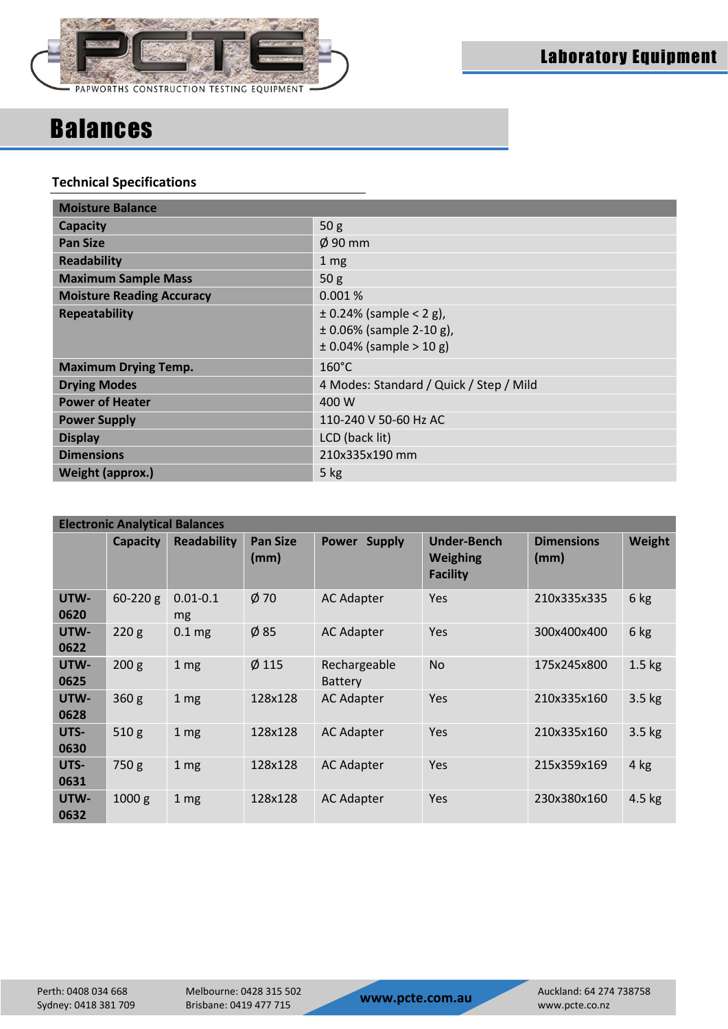

#### **Technical Specifications**

| <b>Moisture Balance</b>          |                                                                                            |  |  |  |  |
|----------------------------------|--------------------------------------------------------------------------------------------|--|--|--|--|
| <b>Capacity</b>                  | 50 <sub>g</sub>                                                                            |  |  |  |  |
| <b>Pan Size</b>                  | $\phi$ 90 mm                                                                               |  |  |  |  |
| <b>Readability</b>               | 1 <sub>mg</sub>                                                                            |  |  |  |  |
| <b>Maximum Sample Mass</b>       | 50 <sub>g</sub>                                                                            |  |  |  |  |
| <b>Moisture Reading Accuracy</b> | 0.001%                                                                                     |  |  |  |  |
| <b>Repeatability</b>             | $\pm$ 0.24% (sample < 2 g),<br>$\pm$ 0.06% (sample 2-10 g),<br>$\pm$ 0.04% (sample > 10 g) |  |  |  |  |
| <b>Maximum Drying Temp.</b>      | $160^{\circ}$ C                                                                            |  |  |  |  |
| <b>Drying Modes</b>              | 4 Modes: Standard / Quick / Step / Mild                                                    |  |  |  |  |
| <b>Power of Heater</b>           | 400 W                                                                                      |  |  |  |  |
| <b>Power Supply</b>              | 110-240 V 50-60 Hz AC                                                                      |  |  |  |  |
| <b>Display</b>                   | LCD (back lit)                                                                             |  |  |  |  |
| <b>Dimensions</b>                | 210x335x190 mm                                                                             |  |  |  |  |
| Weight (approx.)                 | 5 kg                                                                                       |  |  |  |  |

| <b>Electronic Analytical Balances</b> |                   |                    |                         |                                |                                                          |                           |          |  |
|---------------------------------------|-------------------|--------------------|-------------------------|--------------------------------|----------------------------------------------------------|---------------------------|----------|--|
|                                       | <b>Capacity</b>   | <b>Readability</b> | <b>Pan Size</b><br>(mm) | Power Supply                   | <b>Under-Bench</b><br><b>Weighing</b><br><b>Facility</b> | <b>Dimensions</b><br>(mm) | Weight   |  |
| UTW-<br>0620                          | $60 - 220$ g      | $0.01 - 0.1$<br>mg | $\phi$ 70               | <b>AC Adapter</b>              | Yes                                                      | 210x335x335               | 6 kg     |  |
| UTW-<br>0622                          | 220g              | 0.1 <sub>mg</sub>  | $\phi$ 85               | <b>AC Adapter</b>              | Yes                                                      | 300x400x400               | 6 kg     |  |
| UTW-<br>0625                          | 200 g             | 1 <sub>mg</sub>    | $Ø$ 115                 | Rechargeable<br><b>Battery</b> | <b>No</b>                                                | 175x245x800               | $1.5$ kg |  |
| UTW-<br>0628                          | 360 <sub>g</sub>  | 1 <sub>mg</sub>    | 128x128                 | <b>AC Adapter</b>              | Yes                                                      | 210x335x160               | $3.5$ kg |  |
| UTS-<br>0630                          | 510g              | 1 <sub>mg</sub>    | 128x128                 | <b>AC Adapter</b>              | Yes                                                      | 210x335x160               | $3.5$ kg |  |
| UTS-<br>0631                          | 750 g             | 1 <sub>mg</sub>    | 128x128                 | <b>AC Adapter</b>              | Yes                                                      | 215x359x169               | $4$ kg   |  |
| UTW-<br>0632                          | 1000 <sub>g</sub> | 1 <sub>mg</sub>    | 128x128                 | <b>AC Adapter</b>              | Yes                                                      | 230x380x160               | $4.5$ kg |  |